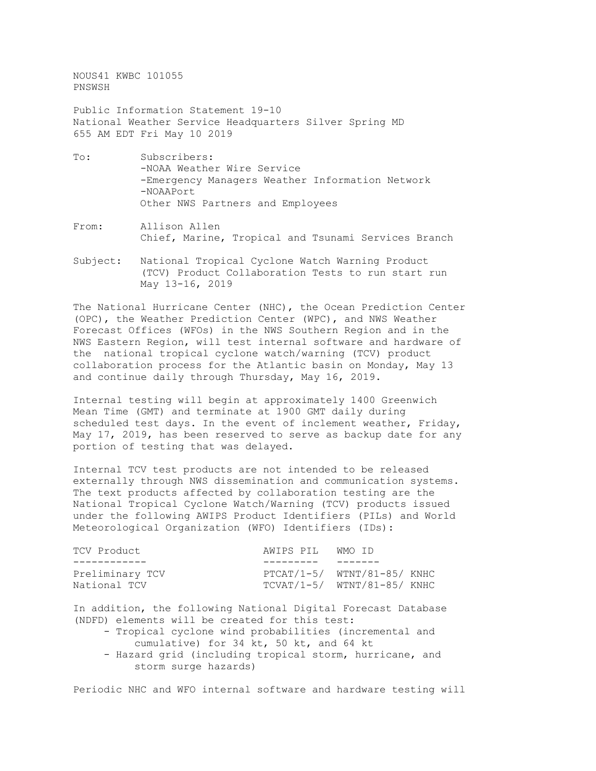NOUS41 KWBC 101055 PNSWSH

Public Information Statement 19-10 National Weather Service Headquarters Silver Spring MD 655 AM EDT Fri May 10 2019

- To: Subscribers: -NOAA Weather Wire Service -Emergency Managers Weather Information Network -NOAAPort Other NWS Partners and Employees
- From: Allison Allen Chief, Marine, Tropical and Tsunami Services Branch
- Subject: National Tropical Cyclone Watch Warning Product (TCV) Product Collaboration Tests to run start run May 13-16, 2019

The National Hurricane Center (NHC), the Ocean Prediction Center (OPC), the Weather Prediction Center (WPC), and NWS Weather Forecast Offices (WFOs) in the NWS Southern Region and in the NWS Eastern Region, will test internal software and hardware of the national tropical cyclone watch/warning (TCV) product collaboration process for the Atlantic basin on Monday, May 13 and continue daily through Thursday, May 16, 2019.

Internal testing will begin at approximately 1400 Greenwich Mean Time (GMT) and terminate at 1900 GMT daily during scheduled test days. In the event of inclement weather, Friday, May 17, 2019, has been reserved to serve as backup date for any portion of testing that was delayed.

Internal TCV test products are not intended to be released externally through NWS dissemination and communication systems. The text products affected by collaboration testing are the National Tropical Cyclone Watch/Warning (TCV) products issued under the following AWIPS Product Identifiers (PILs) and World Meteorological Organization (WFO) Identifiers (IDs):

| TCV Product                     | AWIPS PIL WMO ID |                                                                |
|---------------------------------|------------------|----------------------------------------------------------------|
|                                 |                  |                                                                |
| Preliminary TCV<br>National TCV |                  | $PTCAT/1-5/ WINT/81-85/ KNHC$<br>$TCVAT/1-5/ WINT/81-85/ KNHC$ |

In addition, the following National Digital Forecast Database (NDFD) elements will be created for this test:

- Tropical cyclone wind probabilities (incremental and cumulative) for 34 kt, 50 kt, and 64 kt
- Hazard grid (including tropical storm, hurricane, and storm surge hazards)

Periodic NHC and WFO internal software and hardware testing will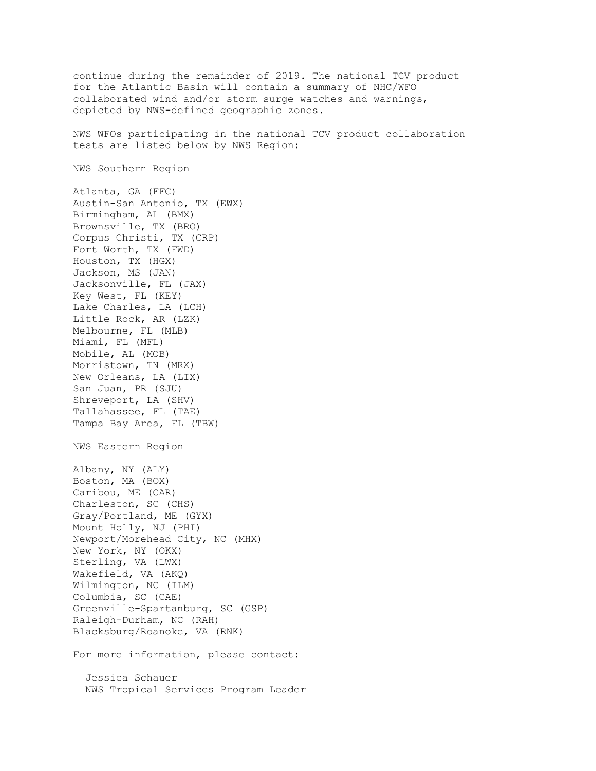continue during the remainder of 2019. The national TCV product for the Atlantic Basin will contain a summary of NHC/WFO collaborated wind and/or storm surge watches and warnings, depicted by NWS-defined geographic zones.

NWS WFOs participating in the national TCV product collaboration tests are listed below by NWS Region:

NWS Southern Region

Atlanta, GA (FFC) Austin-San Antonio, TX (EWX) Birmingham, AL (BMX) Brownsville, TX (BRO) Corpus Christi, TX (CRP) Fort Worth, TX (FWD) Houston, TX (HGX) Jackson, MS (JAN) Jacksonville, FL (JAX) Key West, FL (KEY) Lake Charles, LA (LCH) Little Rock, AR (LZK) Melbourne, FL (MLB) Miami, FL (MFL) Mobile, AL (MOB) Morristown, TN (MRX) New Orleans, LA (LIX) San Juan, PR (SJU) Shreveport, LA (SHV) Tallahassee, FL (TAE) Tampa Bay Area, FL (TBW) NWS Eastern Region Albany, NY (ALY) Boston, MA (BOX) Caribou, ME (CAR) Charleston, SC (CHS) Gray/Portland, ME (GYX) Mount Holly, NJ (PHI) Newport/Morehead City, NC (MHX) New York, NY (OKX) Sterling, VA (LWX) Wakefield, VA (AKQ) Wilmington, NC (ILM) Columbia, SC (CAE) Greenville-Spartanburg, SC (GSP) Raleigh-Durham, NC (RAH) Blacksburg/Roanoke, VA (RNK) For more information, please contact:

 Jessica Schauer NWS Tropical Services Program Leader